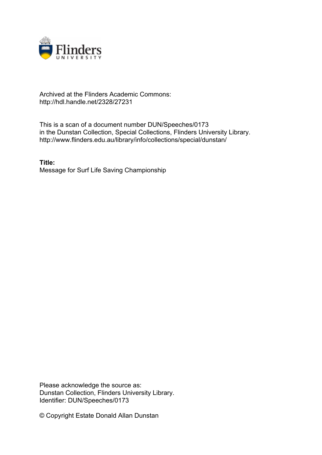

## Archived at the Flinders Academic Commons: http://hdl.handle.net/2328/27231

This is a scan of a document number DUN/Speeches/0173 in the Dunstan Collection, Special Collections, Flinders University Library. http://www.flinders.edu.au/library/info/collections/special/dunstan/

**Title:** Message for Surf Life Saving Championship

Please acknowledge the source as: Dunstan Collection, Flinders University Library. Identifier: DUN/Speeches/0173

© Copyright Estate Donald Allan Dunstan